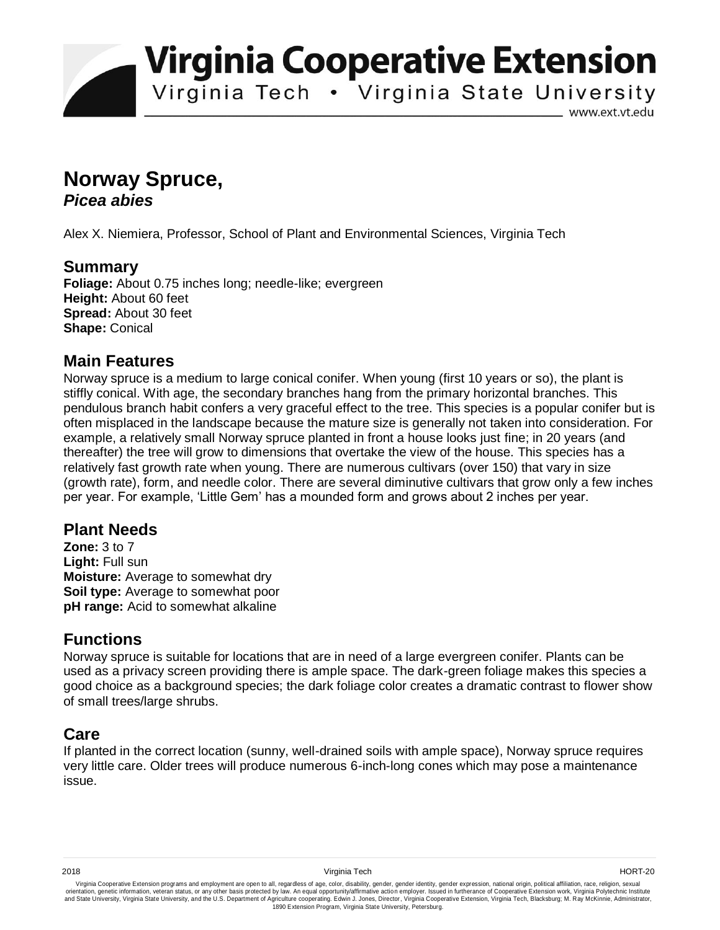**Virginia Cooperative Extension** 

Virginia Tech . Virginia State University

www.ext.vt.edu

# **Norway Spruce,**  *Picea abies*

Alex X. Niemiera, Professor, School of Plant and Environmental Sciences, Virginia Tech

## **Summary**

**Foliage:** About 0.75 inches long; needle-like; evergreen **Height:** About 60 feet **Spread:** About 30 feet **Shape:** Conical

#### **Main Features**

Norway spruce is a medium to large conical conifer. When young (first 10 years or so), the plant is stiffly conical. With age, the secondary branches hang from the primary horizontal branches. This pendulous branch habit confers a very graceful effect to the tree. This species is a popular conifer but is often misplaced in the landscape because the mature size is generally not taken into consideration. For example, a relatively small Norway spruce planted in front a house looks just fine; in 20 years (and thereafter) the tree will grow to dimensions that overtake the view of the house. This species has a relatively fast growth rate when young. There are numerous cultivars (over 150) that vary in size (growth rate), form, and needle color. There are several diminutive cultivars that grow only a few inches per year. For example, 'Little Gem' has a mounded form and grows about 2 inches per year.

#### **Plant Needs**

**Zone:** 3 to 7 **Light:** Full sun **Moisture:** Average to somewhat dry **Soil type:** Average to somewhat poor **pH range:** Acid to somewhat alkaline

#### **Functions**

Norway spruce is suitable for locations that are in need of a large evergreen conifer. Plants can be used as a privacy screen providing there is ample space. The dark-green foliage makes this species a good choice as a background species; the dark foliage color creates a dramatic contrast to flower show of small trees/large shrubs.

#### **Care**

If planted in the correct location (sunny, well-drained soils with ample space), Norway spruce requires very little care. Older trees will produce numerous 6-inch-long cones which may pose a maintenance issue.

Virginia Cooperative Extension programs and employment are open to all, regardless of age, color, disability, gender, gender identity, gender expression, national origin, political affiliation, race, religion, sexual وrie 1890 Extension Program, Virginia State University, Petersburg.